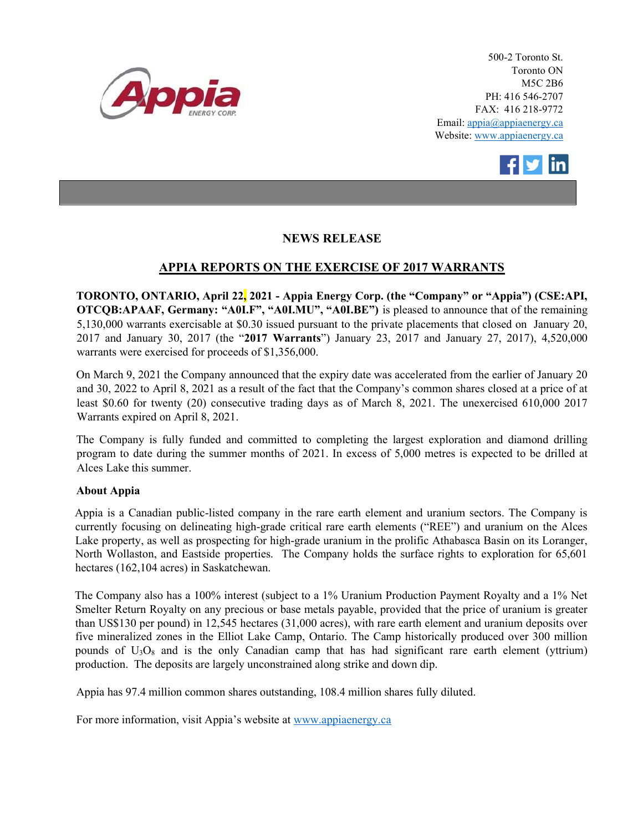

500-2 Toronto St. Toronto ON M5C 2B6 PH: 416 546-2707 FAX: 416 218-9772 Email: appia@appiaenergy.ca Website: www.appiaenergy.ca



## NEWS RELEASE

## APPIA REPORTS ON THE EXERCISE OF 2017 WARRANTS

TORONTO, ONTARIO, April 22, 2021 - Appia Energy Corp. (the "Company" or "Appia") (CSE:API, OTCQB:APAAF, Germany: "A0I.F", "A0I.MU", "A0I.BE") is pleased to announce that of the remaining 5,130,000 warrants exercisable at \$0.30 issued pursuant to the private placements that closed on January 20, 2017 and January 30, 2017 (the "2017 Warrants") January 23, 2017 and January 27, 2017), 4,520,000 warrants were exercised for proceeds of \$1,356,000.

On March 9, 2021 the Company announced that the expiry date was accelerated from the earlier of January 20 and 30, 2022 to April 8, 2021 as a result of the fact that the Company's common shares closed at a price of at least \$0.60 for twenty (20) consecutive trading days as of March 8, 2021. The unexercised 610,000 2017 Warrants expired on April 8, 2021.

The Company is fully funded and committed to completing the largest exploration and diamond drilling program to date during the summer months of 2021. In excess of 5,000 metres is expected to be drilled at Alces Lake this summer.

## About Appia

Appia is a Canadian public-listed company in the rare earth element and uranium sectors. The Company is currently focusing on delineating high-grade critical rare earth elements ("REE") and uranium on the Alces Lake property, as well as prospecting for high-grade uranium in the prolific Athabasca Basin on its Loranger, North Wollaston, and Eastside properties. The Company holds the surface rights to exploration for 65,601 hectares (162,104 acres) in Saskatchewan.

The Company also has a 100% interest (subject to a 1% Uranium Production Payment Royalty and a 1% Net Smelter Return Royalty on any precious or base metals payable, provided that the price of uranium is greater than US\$130 per pound) in 12,545 hectares (31,000 acres), with rare earth element and uranium deposits over five mineralized zones in the Elliot Lake Camp, Ontario. The Camp historically produced over 300 million pounds of  $U_3O_8$  and is the only Canadian camp that has had significant rare earth element (yttrium) production. The deposits are largely unconstrained along strike and down dip.

Appia has 97.4 million common shares outstanding, 108.4 million shares fully diluted.

For more information, visit Appia's website at www.appiaenergy.ca